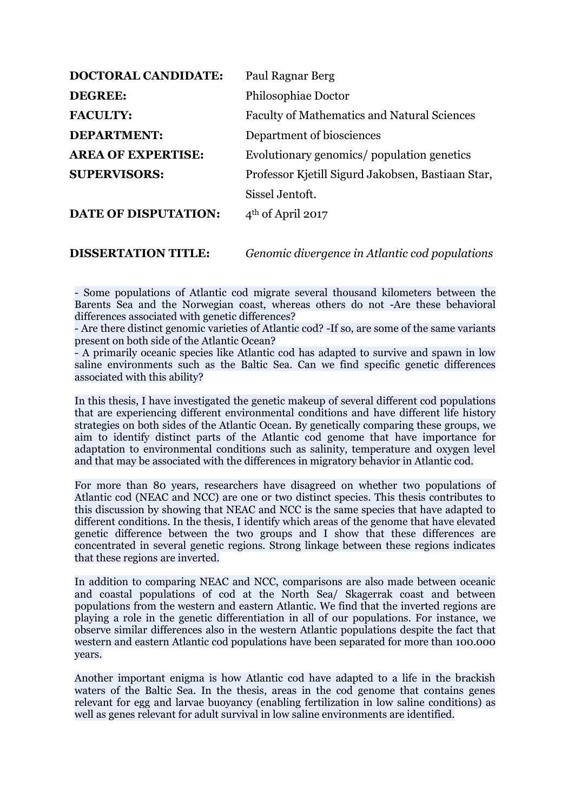| <b>DOCTORAL CANDIDATE:</b>  | Paul Ragnar Berg                                   |
|-----------------------------|----------------------------------------------------|
| <b>DEGREE:</b>              | Philosophiae Doctor                                |
| <b>FACULTY:</b>             | <b>Faculty of Mathematics and Natural Sciences</b> |
| <b>DEPARTMENT:</b>          | Department of biosciences                          |
| <b>AREA OF EXPERTISE:</b>   | Evolutionary genomics/ population genetics         |
| <b>SUPERVISORS:</b>         | Professor Kjetill Sigurd Jakobsen, Bastiaan Star,  |
|                             | Sissel Jentoft.                                    |
| <b>DATE OF DISPUTATION:</b> | $4th$ of April 2017                                |
|                             |                                                    |

**DISSERTATION TITLE:** *Genomic divergence in Atlantic cod populations*

- Some populations of Atlantic cod migrate several thousand kilometers between the Barents Sea and the Norwegian coast, whereas others do not -Are these behavioral differences associated with genetic differences?

- Are there distinct genomic varieties of Atlantic cod? -If so, are some of the same variants present on both side of the Atlantic Ocean?

- A primarily oceanic species like Atlantic cod has adapted to survive and spawn in low saline environments such as the Baltic Sea. Can we find specific genetic differences associated with this ability?

In this thesis, I have investigated the genetic makeup of several different cod populations that are experiencing different environmental conditions and have different life history strategies on both sides of the Atlantic Ocean. By genetically comparing these groups, we aim to identify distinct parts of the Atlantic cod genome that have importance for adaptation to environmental conditions such as salinity, temperature and oxygen level and that may be associated with the differences in migratory behavior in Atlantic cod.

For more than 80 years, researchers have disagreed on whether two populations of Atlantic cod (NEAC and NCC) are one or two distinct species. This thesis contributes to this discussion by showing that NEAC and NCC is the same species that have adapted to different conditions. In the thesis, I identify which areas of the genome that have elevated genetic difference between the two groups and I show that these differences are concentrated in several genetic regions. Strong linkage between these regions indicates that these regions are inverted.

In addition to comparing NEAC and NCC, comparisons are also made between oceanic and coastal populations of cod at the North Sea/ Skagerrak coast and between populations from the western and eastern Atlantic. We find that the inverted regions are playing a role in the genetic differentiation in all of our populations. For instance, we observe similar differences also in the western Atlantic populations despite the fact that western and eastern Atlantic cod populations have been separated for more than 100.000 years.

Another important enigma is how Atlantic cod have adapted to a life in the brackish waters of the Baltic Sea. In the thesis, areas in the cod genome that contains genes relevant for egg and larvae buoyancy (enabling fertilization in low saline conditions) as well as genes relevant for adult survival in low saline environments are identified.